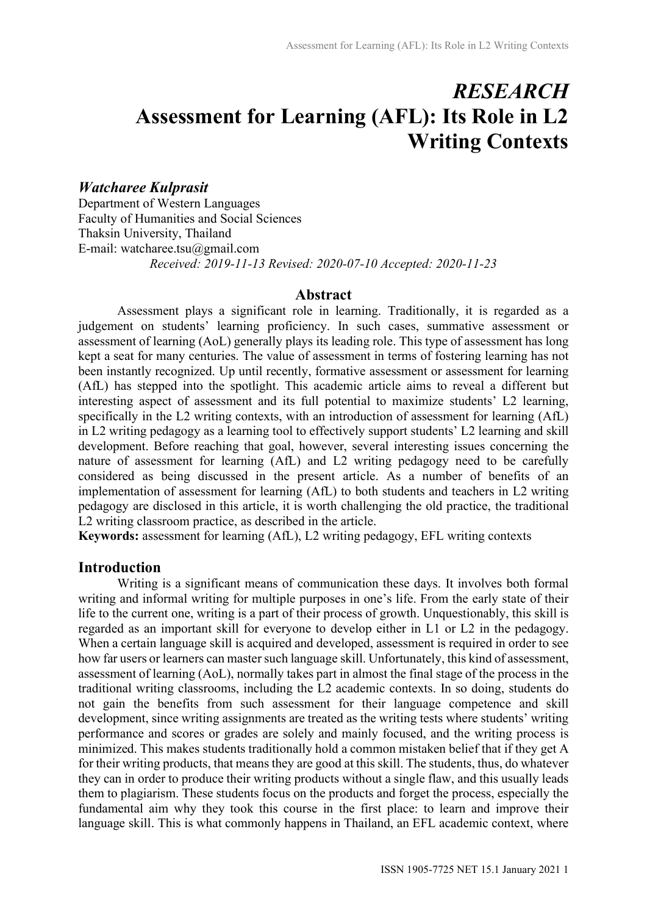# **RESEARCH** Assessment for Learning (AFL): Its Role in L2 Writing Contexts

## Watcharee Kulprasit

Department of Western Languages Faculty of Humanities and Social Sciences Thaksin University, Thailand E-mail: watcharee.tsu@gmail.com Received: 2019-11-13 Revised: 2020-07-10 Accepted: 2020-11-23

## Abstract

Assessment plays a significant role in learning. Traditionally, it is regarded as a judgement on students' learning proficiency. In such cases, summative assessment or assessment of learning (AoL) generally plays its leading role. This type of assessment has long kept a seat for many centuries. The value of assessment in terms of fostering learning has not been instantly recognized. Up until recently, formative assessment or assessment for learning (AfL) has stepped into the spotlight. This academic article aims to reveal a different but interesting aspect of assessment and its full potential to maximize students' L2 learning, specifically in the L2 writing contexts, with an introduction of assessment for learning (AfL) in L2 writing pedagogy as a learning tool to effectively support students' L2 learning and skill development. Before reaching that goal, however, several interesting issues concerning the nature of assessment for learning (AfL) and L2 writing pedagogy need to be carefully considered as being discussed in the present article. As a number of benefits of an implementation of assessment for learning (AfL) to both students and teachers in L2 writing pedagogy are disclosed in this article, it is worth challenging the old practice, the traditional L2 writing classroom practice, as described in the article.

Keywords: assessment for learning (AfL), L2 writing pedagogy, EFL writing contexts

## Introduction

 Writing is a significant means of communication these days. It involves both formal writing and informal writing for multiple purposes in one's life. From the early state of their life to the current one, writing is a part of their process of growth. Unquestionably, this skill is regarded as an important skill for everyone to develop either in L1 or L2 in the pedagogy. When a certain language skill is acquired and developed, assessment is required in order to see how far users or learners can master such language skill. Unfortunately, this kind of assessment, assessment of learning (AoL), normally takes part in almost the final stage of the process in the traditional writing classrooms, including the L2 academic contexts. In so doing, students do not gain the benefits from such assessment for their language competence and skill development, since writing assignments are treated as the writing tests where students' writing performance and scores or grades are solely and mainly focused, and the writing process is minimized. This makes students traditionally hold a common mistaken belief that if they get A for their writing products, that means they are good at this skill. The students, thus, do whatever they can in order to produce their writing products without a single flaw, and this usually leads them to plagiarism. These students focus on the products and forget the process, especially the fundamental aim why they took this course in the first place: to learn and improve their language skill. This is what commonly happens in Thailand, an EFL academic context, where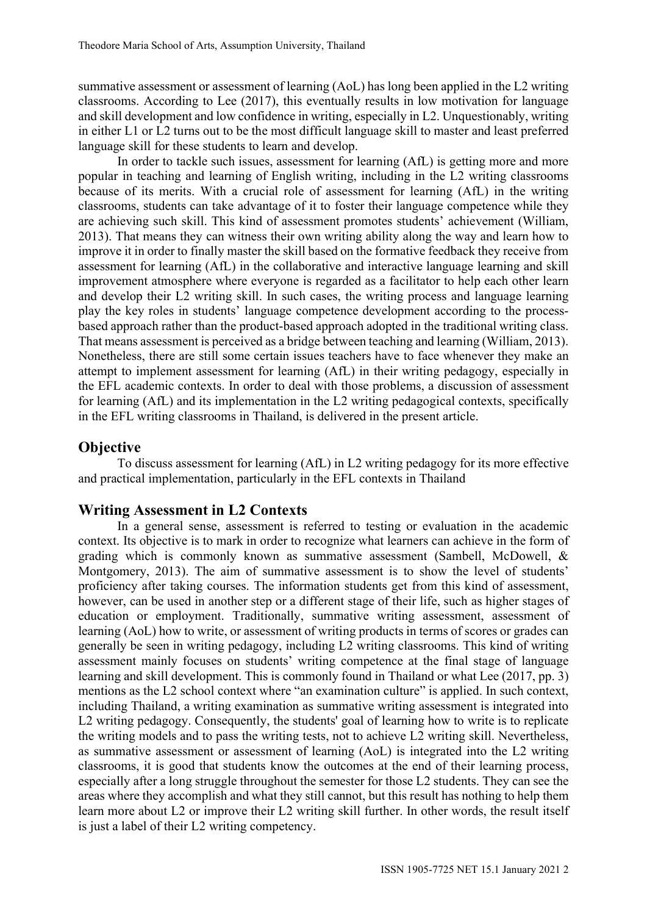summative assessment or assessment of learning (AoL) has long been applied in the L2 writing classrooms. According to Lee (2017), this eventually results in low motivation for language and skill development and low confidence in writing, especially in L2. Unquestionably, writing in either L1 or L2 turns out to be the most difficult language skill to master and least preferred language skill for these students to learn and develop.

In order to tackle such issues, assessment for learning (AfL) is getting more and more popular in teaching and learning of English writing, including in the L2 writing classrooms because of its merits. With a crucial role of assessment for learning (AfL) in the writing classrooms, students can take advantage of it to foster their language competence while they are achieving such skill. This kind of assessment promotes students' achievement (William, 2013). That means they can witness their own writing ability along the way and learn how to improve it in order to finally master the skill based on the formative feedback they receive from assessment for learning (AfL) in the collaborative and interactive language learning and skill improvement atmosphere where everyone is regarded as a facilitator to help each other learn and develop their L2 writing skill. In such cases, the writing process and language learning play the key roles in students' language competence development according to the processbased approach rather than the product-based approach adopted in the traditional writing class. That means assessment is perceived as a bridge between teaching and learning (William, 2013). Nonetheless, there are still some certain issues teachers have to face whenever they make an attempt to implement assessment for learning (AfL) in their writing pedagogy, especially in the EFL academic contexts. In order to deal with those problems, a discussion of assessment for learning (AfL) and its implementation in the L2 writing pedagogical contexts, specifically in the EFL writing classrooms in Thailand, is delivered in the present article.

## **Objective**

To discuss assessment for learning (AfL) in L2 writing pedagogy for its more effective and practical implementation, particularly in the EFL contexts in Thailand

## Writing Assessment in L2 Contexts

 In a general sense, assessment is referred to testing or evaluation in the academic context. Its objective is to mark in order to recognize what learners can achieve in the form of grading which is commonly known as summative assessment (Sambell, McDowell, & Montgomery, 2013). The aim of summative assessment is to show the level of students' proficiency after taking courses. The information students get from this kind of assessment, however, can be used in another step or a different stage of their life, such as higher stages of education or employment. Traditionally, summative writing assessment, assessment of learning (AoL) how to write, or assessment of writing products in terms of scores or grades can generally be seen in writing pedagogy, including L2 writing classrooms. This kind of writing assessment mainly focuses on students' writing competence at the final stage of language learning and skill development. This is commonly found in Thailand or what Lee (2017, pp. 3) mentions as the L2 school context where "an examination culture" is applied. In such context, including Thailand, a writing examination as summative writing assessment is integrated into L2 writing pedagogy. Consequently, the students' goal of learning how to write is to replicate the writing models and to pass the writing tests, not to achieve L2 writing skill. Nevertheless, as summative assessment or assessment of learning (AoL) is integrated into the L2 writing classrooms, it is good that students know the outcomes at the end of their learning process, especially after a long struggle throughout the semester for those L2 students. They can see the areas where they accomplish and what they still cannot, but this result has nothing to help them learn more about L2 or improve their L2 writing skill further. In other words, the result itself is just a label of their L2 writing competency.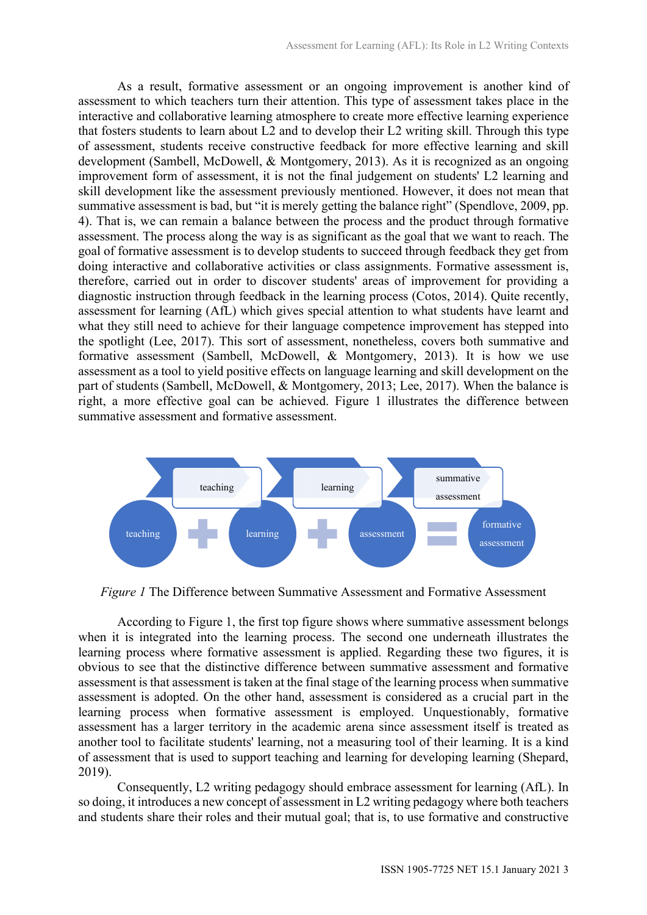As a result, formative assessment or an ongoing improvement is another kind of assessment to which teachers turn their attention. This type of assessment takes place in the interactive and collaborative learning atmosphere to create more effective learning experience that fosters students to learn about L2 and to develop their L2 writing skill. Through this type of assessment, students receive constructive feedback for more effective learning and skill development (Sambell, McDowell, & Montgomery, 2013). As it is recognized as an ongoing improvement form of assessment, it is not the final judgement on students' L2 learning and skill development like the assessment previously mentioned. However, it does not mean that summative assessment is bad, but "it is merely getting the balance right" (Spendlove, 2009, pp. 4). That is, we can remain a balance between the process and the product through formative assessment. The process along the way is as significant as the goal that we want to reach. The goal of formative assessment is to develop students to succeed through feedback they get from doing interactive and collaborative activities or class assignments. Formative assessment is, therefore, carried out in order to discover students' areas of improvement for providing a diagnostic instruction through feedback in the learning process (Cotos, 2014). Quite recently, assessment for learning (AfL) which gives special attention to what students have learnt and what they still need to achieve for their language competence improvement has stepped into the spotlight (Lee, 2017). This sort of assessment, nonetheless, covers both summative and formative assessment (Sambell, McDowell, & Montgomery, 2013). It is how we use assessment as a tool to yield positive effects on language learning and skill development on the part of students (Sambell, McDowell, & Montgomery, 2013; Lee, 2017). When the balance is right, a more effective goal can be achieved. Figure 1 illustrates the difference between summative assessment and formative assessment.



Figure 1 The Difference between Summative Assessment and Formative Assessment

According to Figure 1, the first top figure shows where summative assessment belongs when it is integrated into the learning process. The second one underneath illustrates the learning process where formative assessment is applied. Regarding these two figures, it is obvious to see that the distinctive difference between summative assessment and formative assessment is that assessment is taken at the final stage of the learning process when summative assessment is adopted. On the other hand, assessment is considered as a crucial part in the learning process when formative assessment is employed. Unquestionably, formative assessment has a larger territory in the academic arena since assessment itself is treated as another tool to facilitate students' learning, not a measuring tool of their learning. It is a kind of assessment that is used to support teaching and learning for developing learning (Shepard, 2019).

Consequently, L2 writing pedagogy should embrace assessment for learning (AfL). In so doing, it introduces a new concept of assessment in L2 writing pedagogy where both teachers and students share their roles and their mutual goal; that is, to use formative and constructive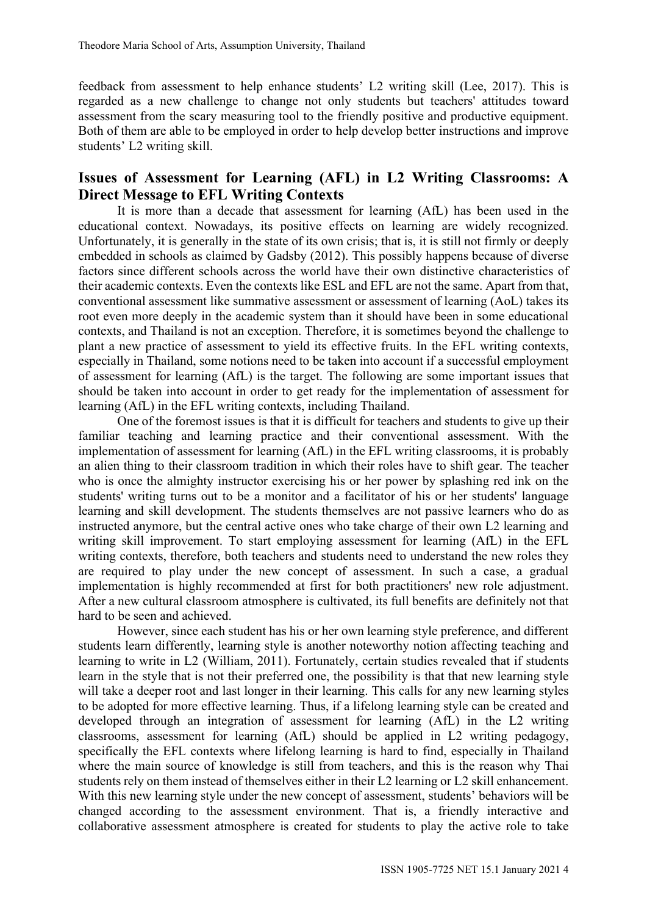feedback from assessment to help enhance students' L2 writing skill (Lee, 2017). This is regarded as a new challenge to change not only students but teachers' attitudes toward assessment from the scary measuring tool to the friendly positive and productive equipment. Both of them are able to be employed in order to help develop better instructions and improve students' L2 writing skill.

## Issues of Assessment for Learning (AFL) in L2 Writing Classrooms: A Direct Message to EFL Writing Contexts

 It is more than a decade that assessment for learning (AfL) has been used in the educational context. Nowadays, its positive effects on learning are widely recognized. Unfortunately, it is generally in the state of its own crisis; that is, it is still not firmly or deeply embedded in schools as claimed by Gadsby (2012). This possibly happens because of diverse factors since different schools across the world have their own distinctive characteristics of their academic contexts. Even the contexts like ESL and EFL are not the same. Apart from that, conventional assessment like summative assessment or assessment of learning (AoL) takes its root even more deeply in the academic system than it should have been in some educational contexts, and Thailand is not an exception. Therefore, it is sometimes beyond the challenge to plant a new practice of assessment to yield its effective fruits. In the EFL writing contexts, especially in Thailand, some notions need to be taken into account if a successful employment of assessment for learning (AfL) is the target. The following are some important issues that should be taken into account in order to get ready for the implementation of assessment for learning (AfL) in the EFL writing contexts, including Thailand.

One of the foremost issues is that it is difficult for teachers and students to give up their familiar teaching and learning practice and their conventional assessment. With the implementation of assessment for learning (AfL) in the EFL writing classrooms, it is probably an alien thing to their classroom tradition in which their roles have to shift gear. The teacher who is once the almighty instructor exercising his or her power by splashing red ink on the students' writing turns out to be a monitor and a facilitator of his or her students' language learning and skill development. The students themselves are not passive learners who do as instructed anymore, but the central active ones who take charge of their own L2 learning and writing skill improvement. To start employing assessment for learning (AfL) in the EFL writing contexts, therefore, both teachers and students need to understand the new roles they are required to play under the new concept of assessment. In such a case, a gradual implementation is highly recommended at first for both practitioners' new role adjustment. After a new cultural classroom atmosphere is cultivated, its full benefits are definitely not that hard to be seen and achieved.

However, since each student has his or her own learning style preference, and different students learn differently, learning style is another noteworthy notion affecting teaching and learning to write in L2 (William, 2011). Fortunately, certain studies revealed that if students learn in the style that is not their preferred one, the possibility is that that new learning style will take a deeper root and last longer in their learning. This calls for any new learning styles to be adopted for more effective learning. Thus, if a lifelong learning style can be created and developed through an integration of assessment for learning (AfL) in the L2 writing classrooms, assessment for learning (AfL) should be applied in L2 writing pedagogy, specifically the EFL contexts where lifelong learning is hard to find, especially in Thailand where the main source of knowledge is still from teachers, and this is the reason why Thai students rely on them instead of themselves either in their L2 learning or L2 skill enhancement. With this new learning style under the new concept of assessment, students' behaviors will be changed according to the assessment environment. That is, a friendly interactive and collaborative assessment atmosphere is created for students to play the active role to take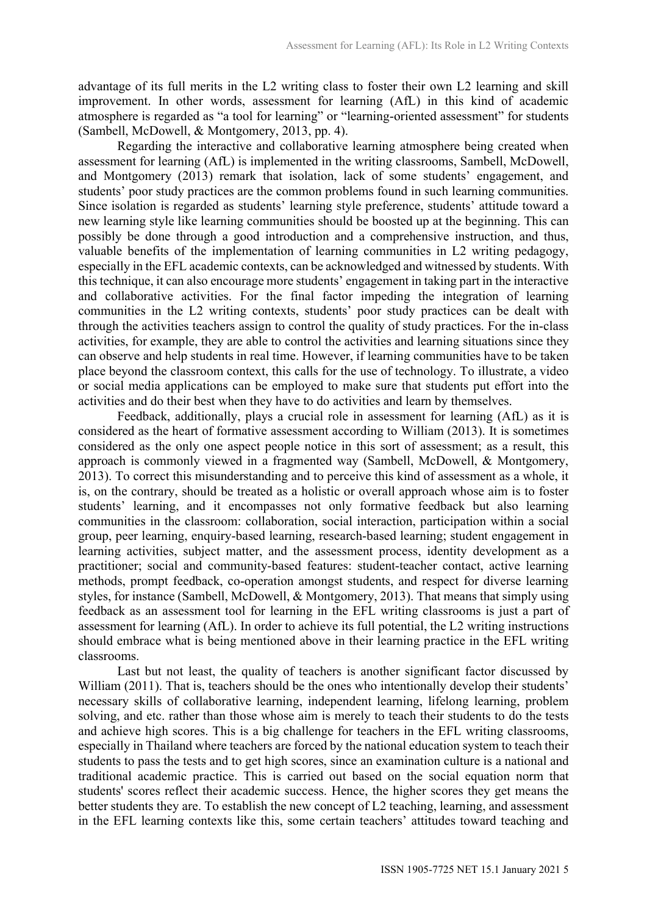advantage of its full merits in the L2 writing class to foster their own L2 learning and skill improvement. In other words, assessment for learning (AfL) in this kind of academic atmosphere is regarded as "a tool for learning" or "learning-oriented assessment" for students (Sambell, McDowell, & Montgomery, 2013, pp. 4).

Regarding the interactive and collaborative learning atmosphere being created when assessment for learning (AfL) is implemented in the writing classrooms, Sambell, McDowell, and Montgomery (2013) remark that isolation, lack of some students' engagement, and students' poor study practices are the common problems found in such learning communities. Since isolation is regarded as students' learning style preference, students' attitude toward a new learning style like learning communities should be boosted up at the beginning. This can possibly be done through a good introduction and a comprehensive instruction, and thus, valuable benefits of the implementation of learning communities in L2 writing pedagogy, especially in the EFL academic contexts, can be acknowledged and witnessed by students. With this technique, it can also encourage more students' engagement in taking part in the interactive and collaborative activities. For the final factor impeding the integration of learning communities in the L2 writing contexts, students' poor study practices can be dealt with through the activities teachers assign to control the quality of study practices. For the in-class activities, for example, they are able to control the activities and learning situations since they can observe and help students in real time. However, if learning communities have to be taken place beyond the classroom context, this calls for the use of technology. To illustrate, a video or social media applications can be employed to make sure that students put effort into the activities and do their best when they have to do activities and learn by themselves.

Feedback, additionally, plays a crucial role in assessment for learning (AfL) as it is considered as the heart of formative assessment according to William (2013). It is sometimes considered as the only one aspect people notice in this sort of assessment; as a result, this approach is commonly viewed in a fragmented way (Sambell, McDowell, & Montgomery, 2013). To correct this misunderstanding and to perceive this kind of assessment as a whole, it is, on the contrary, should be treated as a holistic or overall approach whose aim is to foster students' learning, and it encompasses not only formative feedback but also learning communities in the classroom: collaboration, social interaction, participation within a social group, peer learning, enquiry-based learning, research-based learning; student engagement in learning activities, subject matter, and the assessment process, identity development as a practitioner; social and community-based features: student-teacher contact, active learning methods, prompt feedback, co-operation amongst students, and respect for diverse learning styles, for instance (Sambell, McDowell, & Montgomery, 2013). That means that simply using feedback as an assessment tool for learning in the EFL writing classrooms is just a part of assessment for learning (AfL). In order to achieve its full potential, the L2 writing instructions should embrace what is being mentioned above in their learning practice in the EFL writing classrooms.

Last but not least, the quality of teachers is another significant factor discussed by William (2011). That is, teachers should be the ones who intentionally develop their students' necessary skills of collaborative learning, independent learning, lifelong learning, problem solving, and etc. rather than those whose aim is merely to teach their students to do the tests and achieve high scores. This is a big challenge for teachers in the EFL writing classrooms, especially in Thailand where teachers are forced by the national education system to teach their students to pass the tests and to get high scores, since an examination culture is a national and traditional academic practice. This is carried out based on the social equation norm that students' scores reflect their academic success. Hence, the higher scores they get means the better students they are. To establish the new concept of L2 teaching, learning, and assessment in the EFL learning contexts like this, some certain teachers' attitudes toward teaching and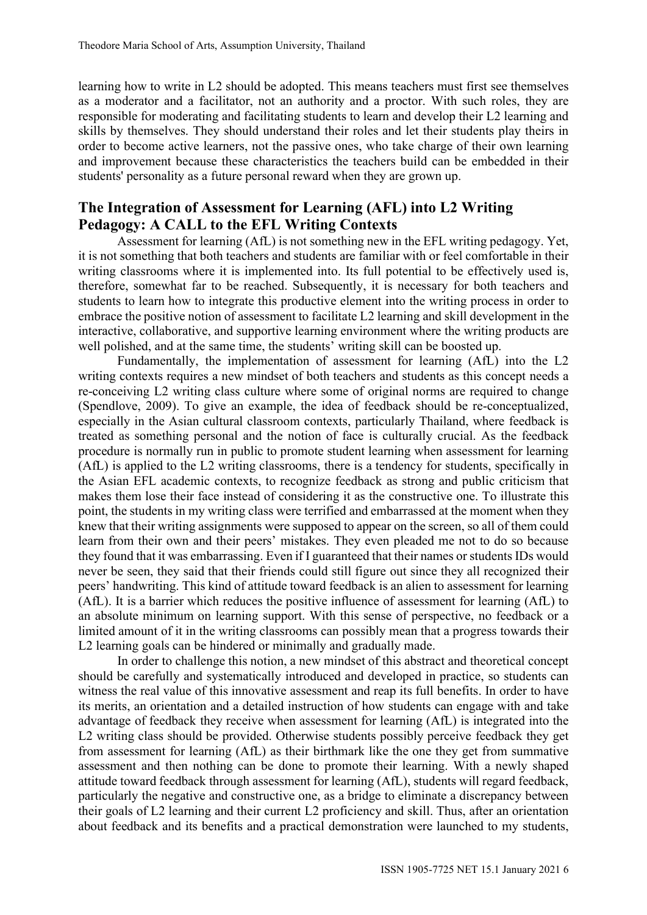learning how to write in L2 should be adopted. This means teachers must first see themselves as a moderator and a facilitator, not an authority and a proctor. With such roles, they are responsible for moderating and facilitating students to learn and develop their L2 learning and skills by themselves. They should understand their roles and let their students play theirs in order to become active learners, not the passive ones, who take charge of their own learning and improvement because these characteristics the teachers build can be embedded in their students' personality as a future personal reward when they are grown up.

# The Integration of Assessment for Learning (AFL) into L2 Writing Pedagogy: A CALL to the EFL Writing Contexts

Assessment for learning (AfL) is not something new in the EFL writing pedagogy. Yet, it is not something that both teachers and students are familiar with or feel comfortable in their writing classrooms where it is implemented into. Its full potential to be effectively used is, therefore, somewhat far to be reached. Subsequently, it is necessary for both teachers and students to learn how to integrate this productive element into the writing process in order to embrace the positive notion of assessment to facilitate L2 learning and skill development in the interactive, collaborative, and supportive learning environment where the writing products are well polished, and at the same time, the students' writing skill can be boosted up.

Fundamentally, the implementation of assessment for learning (AfL) into the L2 writing contexts requires a new mindset of both teachers and students as this concept needs a re-conceiving L2 writing class culture where some of original norms are required to change (Spendlove, 2009). To give an example, the idea of feedback should be re-conceptualized, especially in the Asian cultural classroom contexts, particularly Thailand, where feedback is treated as something personal and the notion of face is culturally crucial. As the feedback procedure is normally run in public to promote student learning when assessment for learning (AfL) is applied to the L2 writing classrooms, there is a tendency for students, specifically in the Asian EFL academic contexts, to recognize feedback as strong and public criticism that makes them lose their face instead of considering it as the constructive one. To illustrate this point, the students in my writing class were terrified and embarrassed at the moment when they knew that their writing assignments were supposed to appear on the screen, so all of them could learn from their own and their peers' mistakes. They even pleaded me not to do so because they found that it was embarrassing. Even if I guaranteed that their names or students IDs would never be seen, they said that their friends could still figure out since they all recognized their peers' handwriting. This kind of attitude toward feedback is an alien to assessment for learning (AfL). It is a barrier which reduces the positive influence of assessment for learning (AfL) to an absolute minimum on learning support. With this sense of perspective, no feedback or a limited amount of it in the writing classrooms can possibly mean that a progress towards their L2 learning goals can be hindered or minimally and gradually made.

In order to challenge this notion, a new mindset of this abstract and theoretical concept should be carefully and systematically introduced and developed in practice, so students can witness the real value of this innovative assessment and reap its full benefits. In order to have its merits, an orientation and a detailed instruction of how students can engage with and take advantage of feedback they receive when assessment for learning (AfL) is integrated into the L2 writing class should be provided. Otherwise students possibly perceive feedback they get from assessment for learning (AfL) as their birthmark like the one they get from summative assessment and then nothing can be done to promote their learning. With a newly shaped attitude toward feedback through assessment for learning (AfL), students will regard feedback, particularly the negative and constructive one, as a bridge to eliminate a discrepancy between their goals of L2 learning and their current L2 proficiency and skill. Thus, after an orientation about feedback and its benefits and a practical demonstration were launched to my students,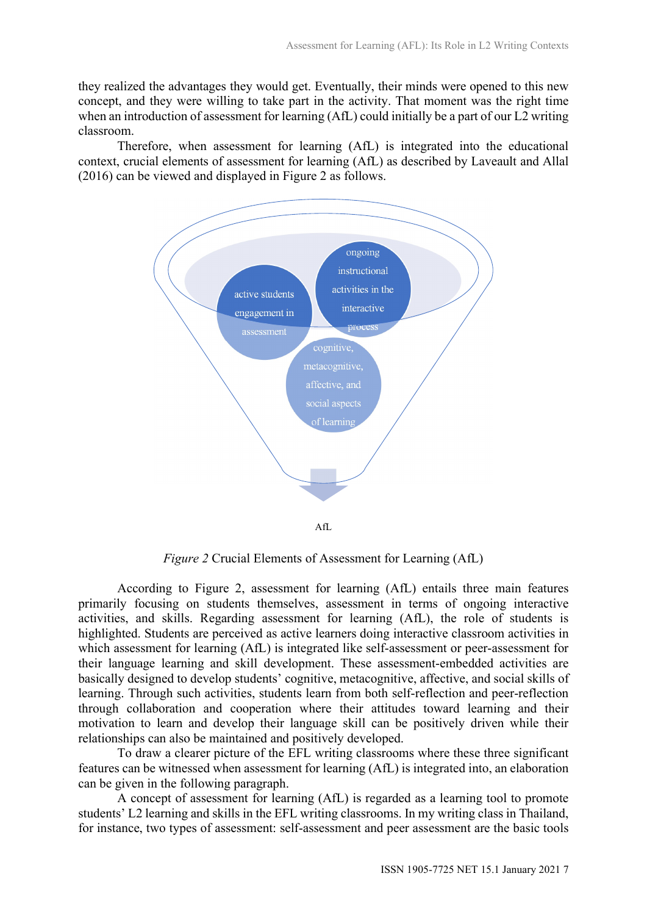they realized the advantages they would get. Eventually, their minds were opened to this new concept, and they were willing to take part in the activity. That moment was the right time when an introduction of assessment for learning (AfL) could initially be a part of our L2 writing classroom.

Therefore, when assessment for learning (AfL) is integrated into the educational context, crucial elements of assessment for learning (AfL) as described by Laveault and Allal (2016) can be viewed and displayed in Figure 2 as follows.



Figure 2 Crucial Elements of Assessment for Learning (AfL)

According to Figure 2, assessment for learning (AfL) entails three main features primarily focusing on students themselves, assessment in terms of ongoing interactive activities, and skills. Regarding assessment for learning (AfL), the role of students is highlighted. Students are perceived as active learners doing interactive classroom activities in which assessment for learning (AfL) is integrated like self-assessment or peer-assessment for their language learning and skill development. These assessment-embedded activities are basically designed to develop students' cognitive, metacognitive, affective, and social skills of learning. Through such activities, students learn from both self-reflection and peer-reflection through collaboration and cooperation where their attitudes toward learning and their motivation to learn and develop their language skill can be positively driven while their relationships can also be maintained and positively developed.

To draw a clearer picture of the EFL writing classrooms where these three significant features can be witnessed when assessment for learning (AfL) is integrated into, an elaboration can be given in the following paragraph.

A concept of assessment for learning (AfL) is regarded as a learning tool to promote students' L2 learning and skills in the EFL writing classrooms. In my writing class in Thailand, for instance, two types of assessment: self-assessment and peer assessment are the basic tools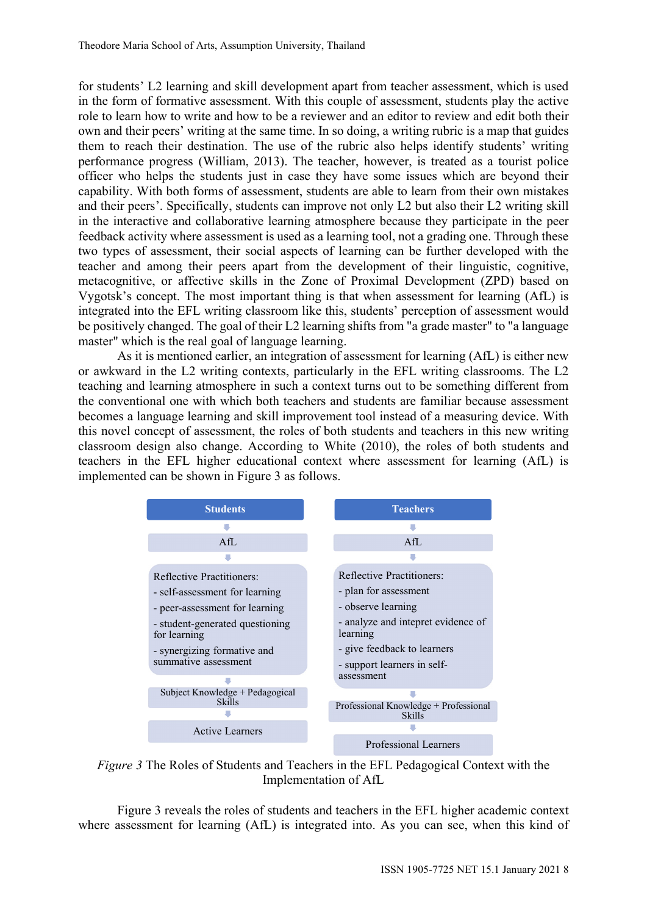for students' L2 learning and skill development apart from teacher assessment, which is used in the form of formative assessment. With this couple of assessment, students play the active role to learn how to write and how to be a reviewer and an editor to review and edit both their own and their peers' writing at the same time. In so doing, a writing rubric is a map that guides them to reach their destination. The use of the rubric also helps identify students' writing performance progress (William, 2013). The teacher, however, is treated as a tourist police officer who helps the students just in case they have some issues which are beyond their capability. With both forms of assessment, students are able to learn from their own mistakes and their peers'. Specifically, students can improve not only L2 but also their L2 writing skill in the interactive and collaborative learning atmosphere because they participate in the peer feedback activity where assessment is used as a learning tool, not a grading one. Through these two types of assessment, their social aspects of learning can be further developed with the teacher and among their peers apart from the development of their linguistic, cognitive, metacognitive, or affective skills in the Zone of Proximal Development (ZPD) based on Vygotsk's concept. The most important thing is that when assessment for learning (AfL) is integrated into the EFL writing classroom like this, students' perception of assessment would be positively changed. The goal of their L2 learning shifts from "a grade master" to "a language master" which is the real goal of language learning.

As it is mentioned earlier, an integration of assessment for learning (AfL) is either new or awkward in the L2 writing contexts, particularly in the EFL writing classrooms. The L2 teaching and learning atmosphere in such a context turns out to be something different from the conventional one with which both teachers and students are familiar because assessment becomes a language learning and skill improvement tool instead of a measuring device. With this novel concept of assessment, the roles of both students and teachers in this new writing classroom design also change. According to White (2010), the roles of both students and teachers in the EFL higher educational context where assessment for learning (AfL) is implemented can be shown in Figure 3 as follows. s, students' perception of assessment would<br>g shifts from "a grade master" to "a language<br>g.<br>f assessment for learning (AfL) is either new<br>rly in the EFL writing classrooms. The L2<br>xxt turns out to be something different f g shifts from "a grade master" to "a language<br>
g.<br>
g.<br>
f. assessment for learning (AfL) is either new<br>
rly in the EFL writing classrooms. The L2<br>
xxt turns out to be something different from<br>
nd students are familiar becau



Figure 3 The Roles of Students and Teachers in the EFL Pedagogical Context with the Implementation of AfL

Figure 3 reveals the roles of students and teachers in the EFL higher academic context where assessment for learning (AfL) is integrated into. As you can see, when this kind of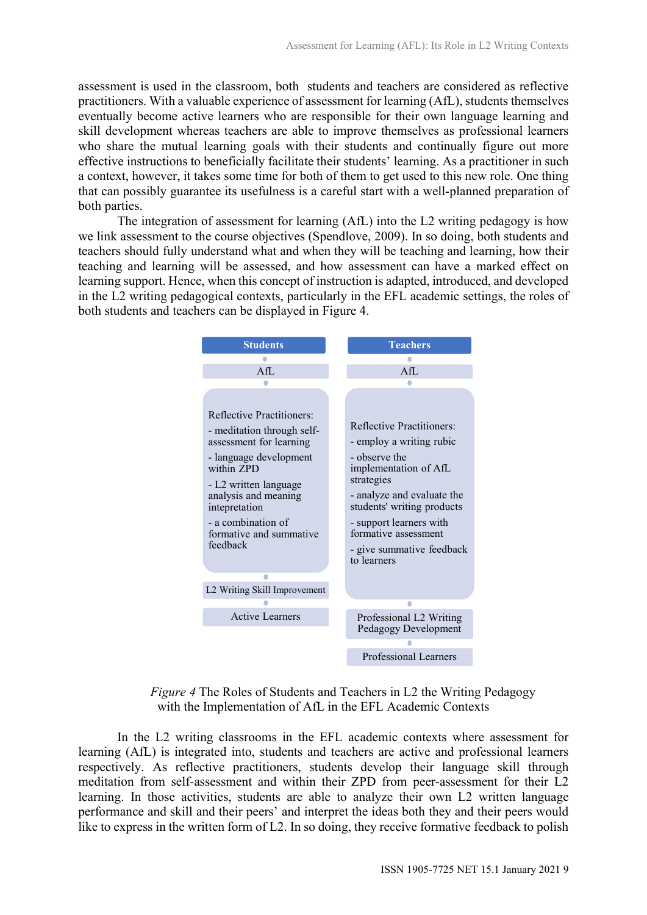assessment is used in the classroom, both students and teachers are considered as reflective practitioners. With a valuable experience of assessment for learning (AfL), students themselves eventually become active learners who are responsible for their own language learning and skill development whereas teachers are able to improve themselves as professional learners who share the mutual learning goals with their students and continually figure out more effective instructions to beneficially facilitate their students' learning. As a practitioner in such a context, however, it takes some time for both of them to get used to this new role. One thing that can possibly guarantee its usefulness is a careful start with a well-planned preparation of both parties.

The integration of assessment for learning (AfL) into the L2 writing pedagogy is how we link assessment to the course objectives (Spendlove, 2009). In so doing, both students and teachers should fully understand what and when they will be teaching and learning, how their teaching and learning will be assessed, and how assessment can have a marked effect on learning support. Hence, when this concept of instruction is adapted, introduced, and developed in the L2 writing pedagogical contexts, particularly in the EFL academic settings, the roles of both students and teachers can be displayed in Figure 4.



Figure 4 The Roles of Students and Teachers in L2 the Writing Pedagogy with the Implementation of AfL in the EFL Academic Contexts

In the L2 writing classrooms in the EFL academic contexts where assessment for learning (AfL) is integrated into, students and teachers are active and professional learners respectively. As reflective practitioners, students develop their language skill through meditation from self-assessment and within their ZPD from peer-assessment for their L2 learning. In those activities, students are able to analyze their own L2 written language performance and skill and their peers' and interpret the ideas both they and their peers would like to express in the written form of L2. In so doing, they receive formative feedback to polish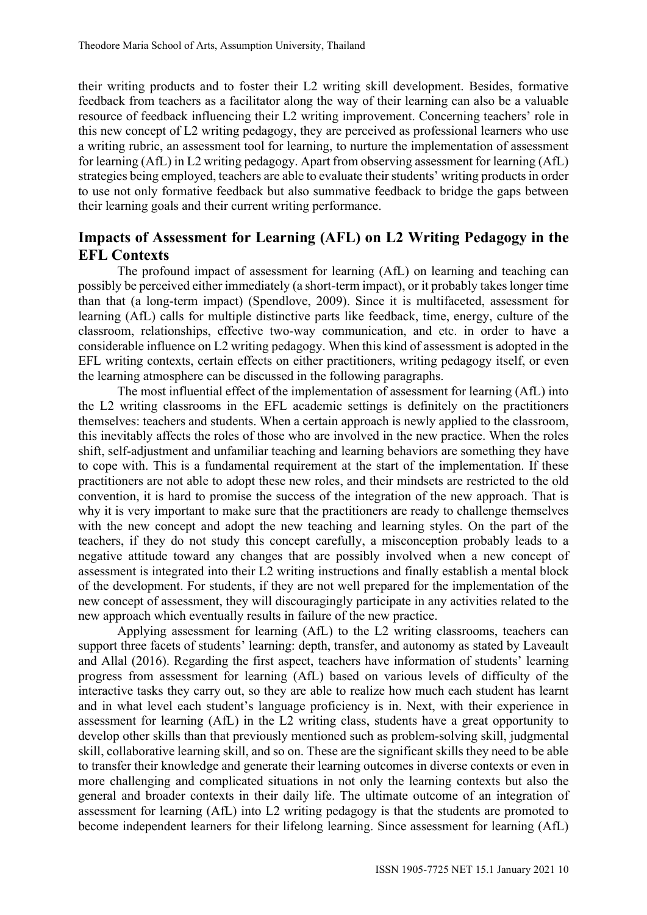their writing products and to foster their L2 writing skill development. Besides, formative feedback from teachers as a facilitator along the way of their learning can also be a valuable resource of feedback influencing their L2 writing improvement. Concerning teachers' role in this new concept of L2 writing pedagogy, they are perceived as professional learners who use a writing rubric, an assessment tool for learning, to nurture the implementation of assessment for learning (AfL) in L2 writing pedagogy. Apart from observing assessment for learning (AfL) strategies being employed, teachers are able to evaluate their students' writing products in order to use not only formative feedback but also summative feedback to bridge the gaps between their learning goals and their current writing performance.

# Impacts of Assessment for Learning (AFL) on L2 Writing Pedagogy in the EFL Contexts

The profound impact of assessment for learning (AfL) on learning and teaching can possibly be perceived either immediately (a short-term impact), or it probably takes longer time than that (a long-term impact) (Spendlove, 2009). Since it is multifaceted, assessment for learning (AfL) calls for multiple distinctive parts like feedback, time, energy, culture of the classroom, relationships, effective two-way communication, and etc. in order to have a considerable influence on L2 writing pedagogy. When this kind of assessment is adopted in the EFL writing contexts, certain effects on either practitioners, writing pedagogy itself, or even the learning atmosphere can be discussed in the following paragraphs.

The most influential effect of the implementation of assessment for learning (AfL) into the L2 writing classrooms in the EFL academic settings is definitely on the practitioners themselves: teachers and students. When a certain approach is newly applied to the classroom, this inevitably affects the roles of those who are involved in the new practice. When the roles shift, self-adjustment and unfamiliar teaching and learning behaviors are something they have to cope with. This is a fundamental requirement at the start of the implementation. If these practitioners are not able to adopt these new roles, and their mindsets are restricted to the old convention, it is hard to promise the success of the integration of the new approach. That is why it is very important to make sure that the practitioners are ready to challenge themselves with the new concept and adopt the new teaching and learning styles. On the part of the teachers, if they do not study this concept carefully, a misconception probably leads to a negative attitude toward any changes that are possibly involved when a new concept of assessment is integrated into their L2 writing instructions and finally establish a mental block of the development. For students, if they are not well prepared for the implementation of the new concept of assessment, they will discouragingly participate in any activities related to the new approach which eventually results in failure of the new practice.

Applying assessment for learning (AfL) to the L2 writing classrooms, teachers can support three facets of students' learning: depth, transfer, and autonomy as stated by Laveault and Allal (2016). Regarding the first aspect, teachers have information of students' learning progress from assessment for learning (AfL) based on various levels of difficulty of the interactive tasks they carry out, so they are able to realize how much each student has learnt and in what level each student's language proficiency is in. Next, with their experience in assessment for learning (AfL) in the L2 writing class, students have a great opportunity to develop other skills than that previously mentioned such as problem-solving skill, judgmental skill, collaborative learning skill, and so on. These are the significant skills they need to be able to transfer their knowledge and generate their learning outcomes in diverse contexts or even in more challenging and complicated situations in not only the learning contexts but also the general and broader contexts in their daily life. The ultimate outcome of an integration of assessment for learning (AfL) into L2 writing pedagogy is that the students are promoted to become independent learners for their lifelong learning. Since assessment for learning (AfL)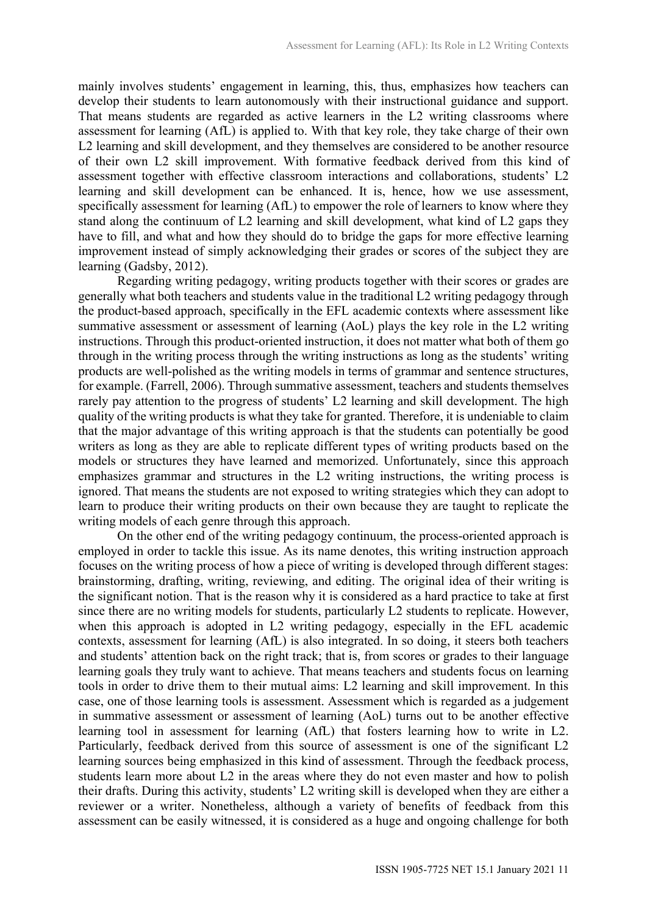mainly involves students' engagement in learning, this, thus, emphasizes how teachers can develop their students to learn autonomously with their instructional guidance and support. That means students are regarded as active learners in the L2 writing classrooms where assessment for learning (AfL) is applied to. With that key role, they take charge of their own L2 learning and skill development, and they themselves are considered to be another resource of their own L2 skill improvement. With formative feedback derived from this kind of assessment together with effective classroom interactions and collaborations, students' L2 learning and skill development can be enhanced. It is, hence, how we use assessment, specifically assessment for learning (AfL) to empower the role of learners to know where they stand along the continuum of L2 learning and skill development, what kind of L2 gaps they have to fill, and what and how they should do to bridge the gaps for more effective learning improvement instead of simply acknowledging their grades or scores of the subject they are learning (Gadsby, 2012).

Regarding writing pedagogy, writing products together with their scores or grades are generally what both teachers and students value in the traditional L2 writing pedagogy through the product-based approach, specifically in the EFL academic contexts where assessment like summative assessment or assessment of learning (AoL) plays the key role in the L2 writing instructions. Through this product-oriented instruction, it does not matter what both of them go through in the writing process through the writing instructions as long as the students' writing products are well-polished as the writing models in terms of grammar and sentence structures, for example. (Farrell, 2006). Through summative assessment, teachers and students themselves rarely pay attention to the progress of students' L2 learning and skill development. The high quality of the writing products is what they take for granted. Therefore, it is undeniable to claim that the major advantage of this writing approach is that the students can potentially be good writers as long as they are able to replicate different types of writing products based on the models or structures they have learned and memorized. Unfortunately, since this approach emphasizes grammar and structures in the L2 writing instructions, the writing process is ignored. That means the students are not exposed to writing strategies which they can adopt to learn to produce their writing products on their own because they are taught to replicate the writing models of each genre through this approach.

On the other end of the writing pedagogy continuum, the process-oriented approach is employed in order to tackle this issue. As its name denotes, this writing instruction approach focuses on the writing process of how a piece of writing is developed through different stages: brainstorming, drafting, writing, reviewing, and editing. The original idea of their writing is the significant notion. That is the reason why it is considered as a hard practice to take at first since there are no writing models for students, particularly L2 students to replicate. However, when this approach is adopted in L2 writing pedagogy, especially in the EFL academic contexts, assessment for learning (AfL) is also integrated. In so doing, it steers both teachers and students' attention back on the right track; that is, from scores or grades to their language learning goals they truly want to achieve. That means teachers and students focus on learning tools in order to drive them to their mutual aims: L2 learning and skill improvement. In this case, one of those learning tools is assessment. Assessment which is regarded as a judgement in summative assessment or assessment of learning (AoL) turns out to be another effective learning tool in assessment for learning (AfL) that fosters learning how to write in L2. Particularly, feedback derived from this source of assessment is one of the significant L2 learning sources being emphasized in this kind of assessment. Through the feedback process, students learn more about L2 in the areas where they do not even master and how to polish their drafts. During this activity, students' L2 writing skill is developed when they are either a reviewer or a writer. Nonetheless, although a variety of benefits of feedback from this assessment can be easily witnessed, it is considered as a huge and ongoing challenge for both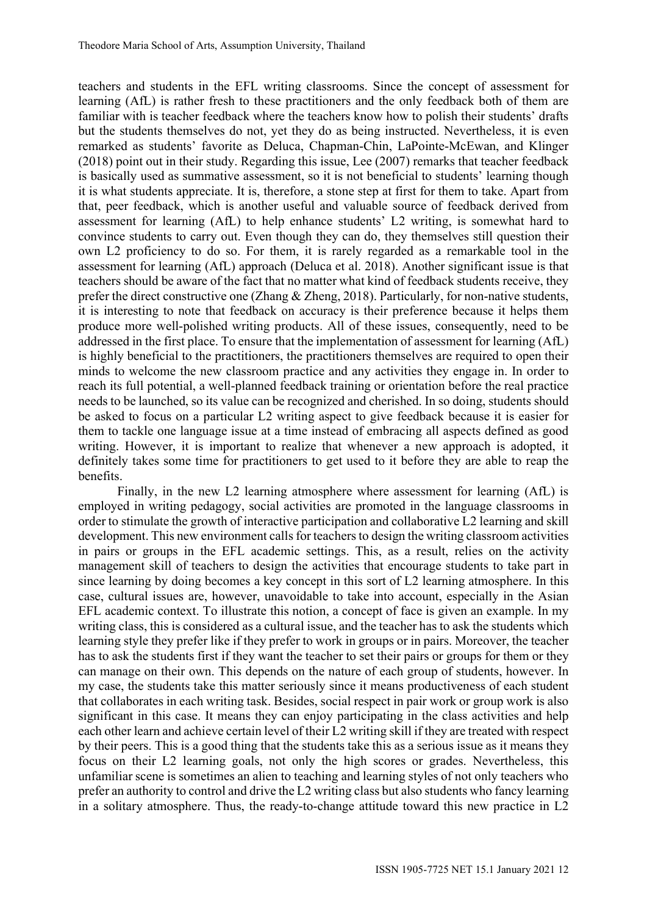teachers and students in the EFL writing classrooms. Since the concept of assessment for learning (AfL) is rather fresh to these practitioners and the only feedback both of them are familiar with is teacher feedback where the teachers know how to polish their students' drafts but the students themselves do not, yet they do as being instructed. Nevertheless, it is even remarked as students' favorite as Deluca, Chapman-Chin, LaPointe-McEwan, and Klinger (2018) point out in their study. Regarding this issue, Lee (2007) remarks that teacher feedback is basically used as summative assessment, so it is not beneficial to students' learning though it is what students appreciate. It is, therefore, a stone step at first for them to take. Apart from that, peer feedback, which is another useful and valuable source of feedback derived from assessment for learning (AfL) to help enhance students' L2 writing, is somewhat hard to convince students to carry out. Even though they can do, they themselves still question their own L2 proficiency to do so. For them, it is rarely regarded as a remarkable tool in the assessment for learning (AfL) approach (Deluca et al. 2018). Another significant issue is that teachers should be aware of the fact that no matter what kind of feedback students receive, they prefer the direct constructive one (Zhang & Zheng, 2018). Particularly, for non-native students, it is interesting to note that feedback on accuracy is their preference because it helps them produce more well-polished writing products. All of these issues, consequently, need to be addressed in the first place. To ensure that the implementation of assessment for learning (AfL) is highly beneficial to the practitioners, the practitioners themselves are required to open their minds to welcome the new classroom practice and any activities they engage in. In order to reach its full potential, a well-planned feedback training or orientation before the real practice needs to be launched, so its value can be recognized and cherished. In so doing, students should be asked to focus on a particular L2 writing aspect to give feedback because it is easier for them to tackle one language issue at a time instead of embracing all aspects defined as good writing. However, it is important to realize that whenever a new approach is adopted, it definitely takes some time for practitioners to get used to it before they are able to reap the benefits.

Finally, in the new L2 learning atmosphere where assessment for learning (AfL) is employed in writing pedagogy, social activities are promoted in the language classrooms in order to stimulate the growth of interactive participation and collaborative L2 learning and skill development. This new environment calls for teachers to design the writing classroom activities in pairs or groups in the EFL academic settings. This, as a result, relies on the activity management skill of teachers to design the activities that encourage students to take part in since learning by doing becomes a key concept in this sort of L2 learning atmosphere. In this case, cultural issues are, however, unavoidable to take into account, especially in the Asian EFL academic context. To illustrate this notion, a concept of face is given an example. In my writing class, this is considered as a cultural issue, and the teacher has to ask the students which learning style they prefer like if they prefer to work in groups or in pairs. Moreover, the teacher has to ask the students first if they want the teacher to set their pairs or groups for them or they can manage on their own. This depends on the nature of each group of students, however. In my case, the students take this matter seriously since it means productiveness of each student that collaborates in each writing task. Besides, social respect in pair work or group work is also significant in this case. It means they can enjoy participating in the class activities and help each other learn and achieve certain level of their L2 writing skill if they are treated with respect by their peers. This is a good thing that the students take this as a serious issue as it means they focus on their L2 learning goals, not only the high scores or grades. Nevertheless, this unfamiliar scene is sometimes an alien to teaching and learning styles of not only teachers who prefer an authority to control and drive the L2 writing class but also students who fancy learning in a solitary atmosphere. Thus, the ready-to-change attitude toward this new practice in L2